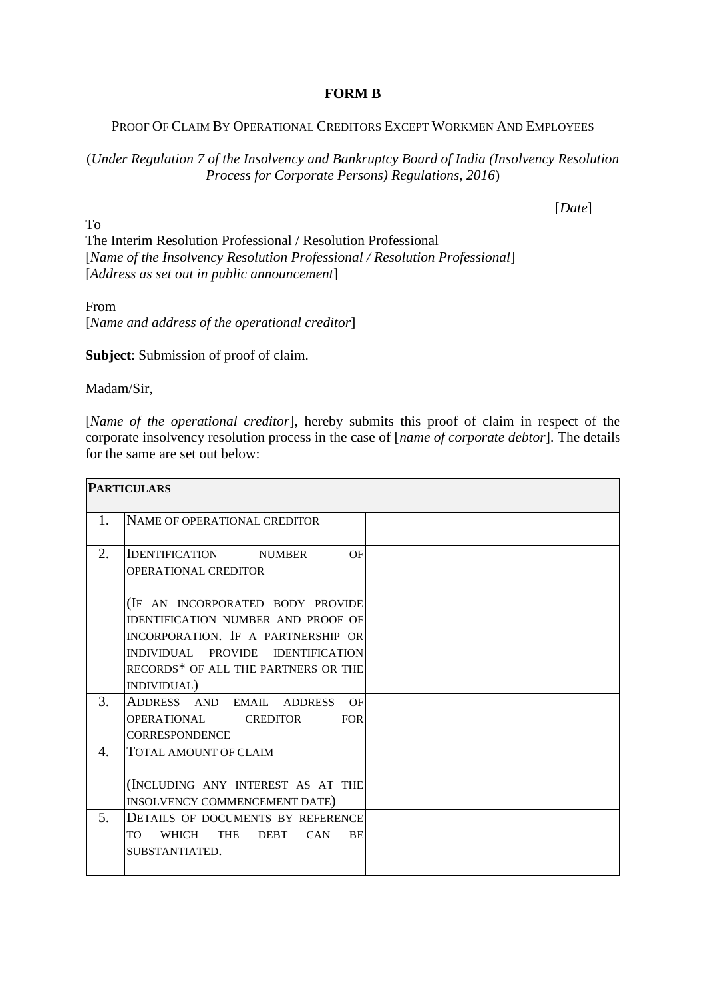## **FORM B**

## PROOF OF CLAIM BY OPERATIONAL CREDITORS EXCEPT WORKMEN AND EMPLOYEES

(*Under Regulation 7 of the Insolvency and Bankruptcy Board of India (Insolvency Resolution Process for Corporate Persons) Regulations, 2016*)

[*Date*]

To The Interim Resolution Professional / Resolution Professional [*Name of the Insolvency Resolution Professional / Resolution Professional*] [*Address as set out in public announcement*]

From [*Name and address of the operational creditor*]

**Subject**: Submission of proof of claim.

Madam/Sir,

[*Name of the operational creditor*], hereby submits this proof of claim in respect of the corporate insolvency resolution process in the case of [*name of corporate debtor*]. The details for the same are set out below:

| <b>PARTICULARS</b> |                                                                                                                                                                                                                |  |
|--------------------|----------------------------------------------------------------------------------------------------------------------------------------------------------------------------------------------------------------|--|
| $1_{-}$            | NAME OF OPERATIONAL CREDITOR                                                                                                                                                                                   |  |
| 2.                 | <b>IDENTIFICATION NUMBER</b><br>OF<br>OPERATIONAL CREDITOR                                                                                                                                                     |  |
|                    | (IF AN INCORPORATED BODY PROVIDE<br><b>IDENTIFICATION NUMBER AND PROOF OF</b><br>INCORPORATION. IF A PARTNERSHIP OR<br>INDIVIDUAL PROVIDE IDENTIFICATION<br>RECORDS* OF ALL THE PARTNERS OR THE<br>INDIVIDUAL) |  |
| 3.                 | ADDRESS AND EMAIL ADDRESS<br>OF<br>OPERATIONAL CREDITOR<br><b>FOR</b><br><b>CORRESPONDENCE</b>                                                                                                                 |  |
| 4.                 | <b>TOTAL AMOUNT OF CLAIM</b><br>(INCLUDING ANY INTEREST AS AT THE<br>INSOLVENCY COMMENCEMENT DATE)                                                                                                             |  |
| 5.                 | DETAILS OF DOCUMENTS BY REFERENCE<br>WHICH THE DEBT CAN<br>BE<br>TO T<br>SUBSTANTIATED.                                                                                                                        |  |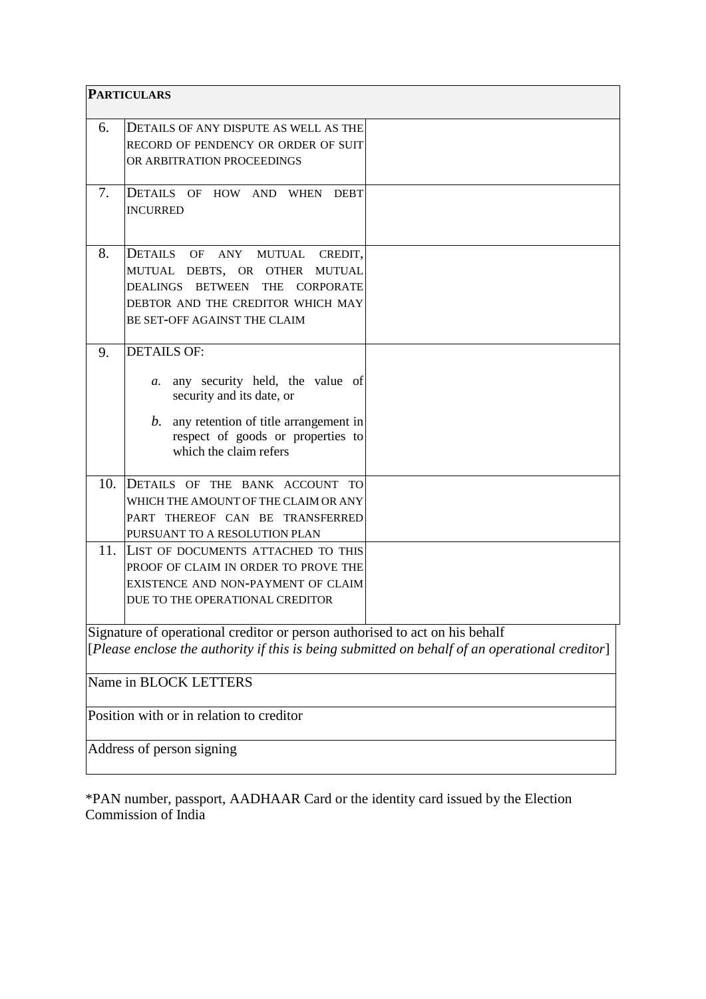| <b>PARTICULARS</b>                                                                                                                                                            |                                                                                                                                                                                                                        |  |  |
|-------------------------------------------------------------------------------------------------------------------------------------------------------------------------------|------------------------------------------------------------------------------------------------------------------------------------------------------------------------------------------------------------------------|--|--|
| 6.                                                                                                                                                                            | DETAILS OF ANY DISPUTE AS WELL AS THE<br>RECORD OF PENDENCY OR ORDER OF SUIT<br>OR ARBITRATION PROCEEDINGS                                                                                                             |  |  |
| 7.                                                                                                                                                                            | DETAILS OF HOW AND<br><b>DEBT</b><br>WHEN<br><b>INCURRED</b>                                                                                                                                                           |  |  |
| 8.                                                                                                                                                                            | DETAILS<br>OF<br>ANY<br><b>MUTUAL</b><br>CREDIT,<br>MUTUAL DEBTS, OR OTHER<br><b>MUTUAL</b><br>DEALINGS BETWEEN<br><b>THE</b><br><b>CORPORATE</b><br>DEBTOR AND THE CREDITOR WHICH MAY<br>BE SET-OFF AGAINST THE CLAIM |  |  |
| 9.                                                                                                                                                                            | <b>DETAILS OF:</b><br>any security held, the value of<br>а.<br>security and its date, or<br>any retention of title arrangement in<br>b.<br>respect of goods or properties to<br>which the claim refers                 |  |  |
| 10.                                                                                                                                                                           | DETAILS OF THE BANK ACCOUNT TO<br>WHICH THE AMOUNT OF THE CLAIM OR ANY<br>PART THEREOF CAN BE TRANSFERRED<br>PURSUANT TO A RESOLUTION PLAN                                                                             |  |  |
| 11.                                                                                                                                                                           | LIST OF DOCUMENTS ATTACHED TO THIS<br>PROOF OF CLAIM IN ORDER TO PROVE THE<br>EXISTENCE AND NON-PAYMENT OF CLAIM<br>DUE TO THE OPERATIONAL CREDITOR                                                                    |  |  |
| Signature of operational creditor or person authorised to act on his behalf<br>[Please enclose the authority if this is being submitted on behalf of an operational creditor] |                                                                                                                                                                                                                        |  |  |
| Name in BLOCK LETTERS                                                                                                                                                         |                                                                                                                                                                                                                        |  |  |
| Position with or in relation to creditor                                                                                                                                      |                                                                                                                                                                                                                        |  |  |
| Address of person signing                                                                                                                                                     |                                                                                                                                                                                                                        |  |  |

\*PAN number, passport, AADHAAR Card or the identity card issued by the Election Commission of India